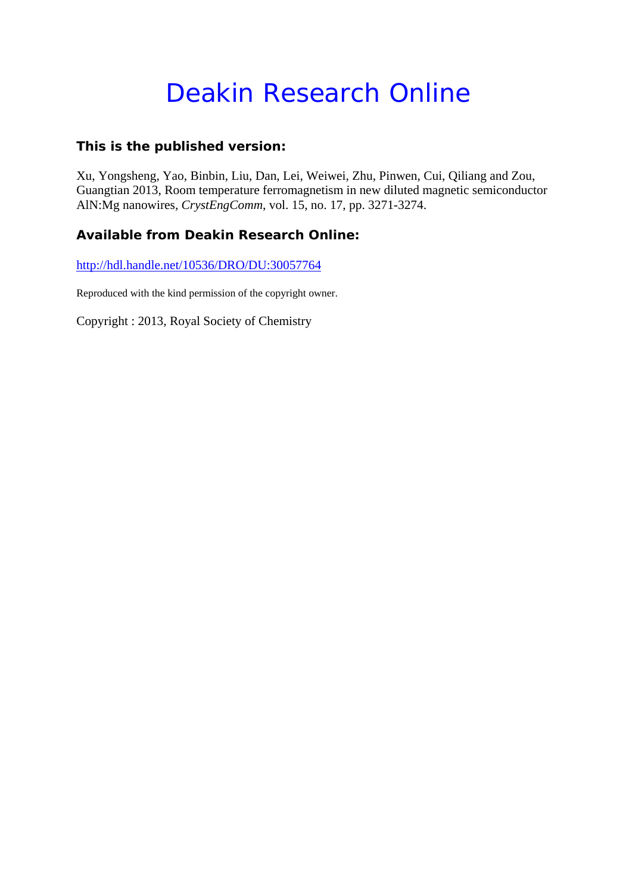# Deakin Research Online

### **This is the published version:**

Xu, Yongsheng, Yao, Binbin, Liu, Dan, Lei, Weiwei, Zhu, Pinwen, Cui, Qiliang and Zou, Guangtian 2013, Room temperature ferromagnetism in new diluted magnetic semiconductor AlN:Mg nanowires*, CrystEngComm*, vol. 15, no. 17, pp. 3271-3274.

## **Available from Deakin Research Online:**

http://hdl.handle.net/10536/DRO/DU:30057764

Reproduced with the kind permission of the copyright owner.

Copyright : 2013, Royal Society of Chemistry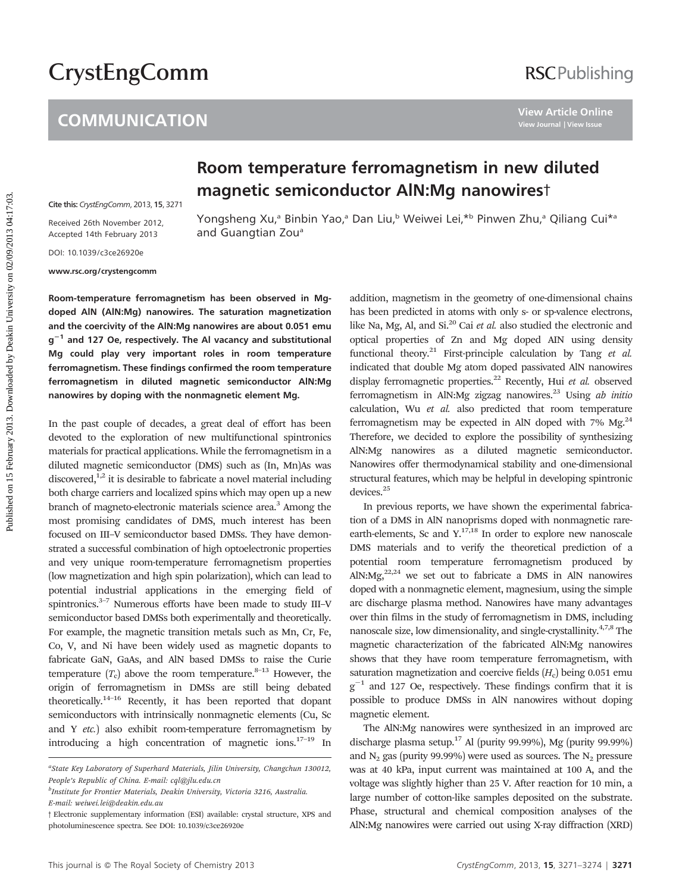# **CrystEngComm**

# **COMMUNICATION**

# Room temperature ferromagnetism in new diluted magnetic semiconductor AlN:Mg nanowirest

Cite this: [CrystEngComm](http://dx.doi.org/10.1039/c3ce26920e), 2013, 15, 3271

Received 26th November 2012, Accepted 14th February 2013

Yongsheng Xu,<sup>a</sup> Binbin Yao,<sup>a</sup> Dan Liu,<sup>b</sup> Weiwei Lei,\*b Pinwen Zhu,<sup>a</sup> Qiliang Cui\*a and Guangtian Zou<sup>a</sup>

DOI: 10.1039/c3ce26920e

www.rsc.org/crystengcomm

Room-temperature ferromagnetism has been observed in Mgdoped AlN (AlN:Mg) nanowires. The saturation magnetization and the coercivity of the AlN:Mg nanowires are about 0.051 emu  $g^{-1}$  and 127 Oe, respectively. The Al vacancy and substitutional Mg could play very important roles in room temperature ferromagnetism. These findings confirmed the room temperature ferromagnetism in diluted magnetic semiconductor AlN:Mg nanowires by doping with the nonmagnetic element Mg.

In the past couple of decades, a great deal of effort has been devoted to the exploration of new multifunctional spintronics materials for practical applications. While the ferromagnetism in a diluted magnetic semiconductor (DMS) such as (In, Mn)As was discovered, $1,2$  it is desirable to fabricate a novel material including both charge carriers and localized spins which may open up a new branch of magneto-electronic materials science area.<sup>3</sup> Among the most promising candidates of DMS, much interest has been focused on III–V semiconductor based DMSs. They have demonstrated a successful combination of high optoelectronic properties and very unique room-temperature ferromagnetism properties (low magnetization and high spin polarization), which can lead to potential industrial applications in the emerging field of spintronics.<sup>3–7</sup> Numerous efforts have been made to study III–V semiconductor based DMSs both experimentally and theoretically. For example, the magnetic transition metals such as Mn, Cr, Fe, Co, V, and Ni have been widely used as magnetic dopants to fabricate GaN, GaAs, and AlN based DMSs to raise the Curie temperature  $(T_c)$  above the room temperature.<sup>8–13</sup> However, the origin of ferromagnetism in DMSs are still being debated theoretically.14–16 Recently, it has been reported that dopant semiconductors with intrinsically nonmagnetic elements (Cu, Sc and Y etc.) also exhibit room-temperature ferromagnetism by introducing a high concentration of magnetic ions. $17-19$  In

addition, magnetism in the geometry of one-dimensional chains has been predicted in atoms with only s- or sp-valence electrons, like Na, Mg, Al, and Si. $^{20}$  Cai et al. also studied the electronic and optical properties of Zn and Mg doped AIN using density functional theory.<sup>21</sup> First-principle calculation by Tang et al. indicated that double Mg atom doped passivated AlN nanowires display ferromagnetic properties.<sup>22</sup> Recently, Hui et al. observed ferromagnetism in AlN:Mg zigzag nanowires. $^{23}$  Using ab initio calculation, Wu et al. also predicted that room temperature ferromagnetism may be expected in AlN doped with  $7\%$  Mg.<sup>24</sup> Therefore, we decided to explore the possibility of synthesizing AlN:Mg nanowires as a diluted magnetic semiconductor. Nanowires offer thermodynamical stability and one-dimensional structural features, which may be helpful in developing spintronic devices.25 **Published on 15 February 2013. Published on 16 February 2013. Published on 16 February 2013. Published on 16 February 2013. Published Dealth Conservation 2013. Published Dealth Conservation 2013. Published Dea** 

In previous reports, we have shown the experimental fabrication of a DMS in AlN nanoprisms doped with nonmagnetic rareearth-elements, Sc and  $Y^{17,18}$  In order to explore new nanoscale DMS materials and to verify the theoretical prediction of a potential room temperature ferromagnetism produced by AlN:Mg, $^{22,24}$  we set out to fabricate a DMS in AlN nanowires doped with a nonmagnetic element, magnesium, using the simple arc discharge plasma method. Nanowires have many advantages over thin films in the study of ferromagnetism in DMS, including nanoscale size, low dimensionality, and single-crystallinity.<sup>4,7,8</sup> The magnetic characterization of the fabricated AlN:Mg nanowires shows that they have room temperature ferromagnetism, with saturation magnetization and coercive fields  $(H_c)$  being 0.051 emu  $g^{-1}$  and 127 Oe, respectively. These findings confirm that it is possible to produce DMSs in AlN nanowires without doping magnetic element.

The AlN:Mg nanowires were synthesized in an improved arc discharge plasma setup.17 Al (purity 99.99%), Mg (purity 99.99%) and  $N_2$  gas (purity 99.99%) were used as sources. The  $N_2$  pressure was at 40 kPa, input current was maintained at 100 A, and the voltage was slightly higher than 25 V. After reaction for 10 min, a large number of cotton-like samples deposited on the substrate. Phase, structural and chemical composition analyses of the AlN:Mg nanowires were carried out using X-ray diffraction (XRD)

<sup>&</sup>lt;sup>a</sup>State Key Laboratory of Superhard Materials, Jilin University, Changchun 130012, People's Republic of China. E-mail: cql@jlu.edu.cn

b Institute for Frontier Materials, Deakin University, Victoria 3216, Australia. E-mail: weiwei.lei@deakin.edu.au

<sup>3</sup> Electronic supplementary information (ESI) available: crystal structure, XPS and photoluminescence spectra. See DOI: 10.1039/c3ce26920e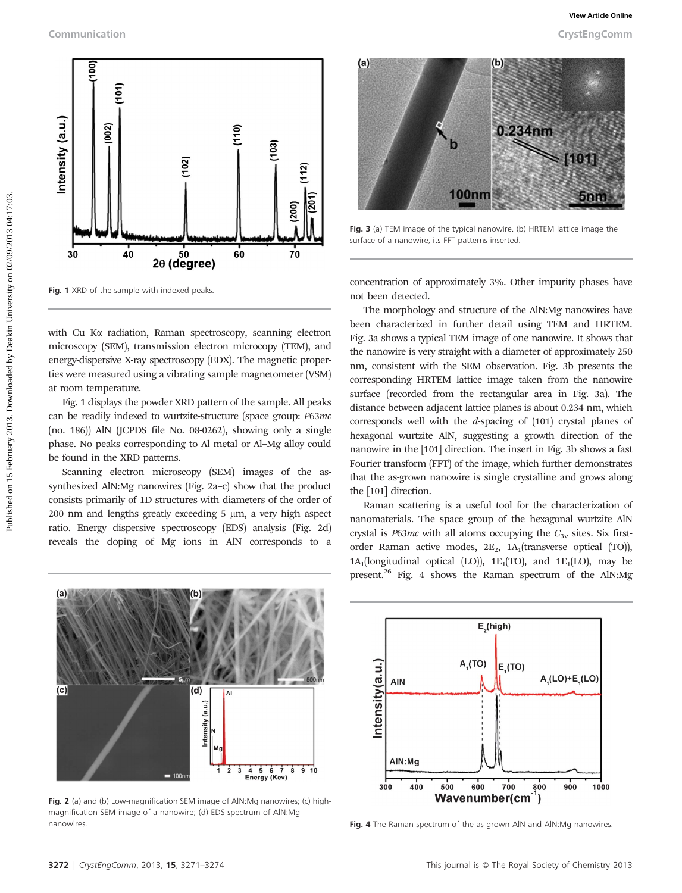

Fig. 1 XRD of the sample with indexed peaks.

with Cu Ka radiation, Raman spectroscopy, scanning electron microscopy (SEM), transmission electron microcopy (TEM), and energy-dispersive X-ray spectroscopy (EDX). The magnetic properties were measured using a vibrating sample magnetometer (VSM) at room temperature.

Fig. 1 displays the powder XRD pattern of the sample. All peaks can be readily indexed to wurtzite-structure (space group: P63mc (no. 186)) AlN (JCPDS file No. 08-0262), showing only a single phase. No peaks corresponding to Al metal or Al–Mg alloy could be found in the XRD patterns.

Scanning electron microscopy (SEM) images of the assynthesized AlN:Mg nanowires (Fig. 2a–c) show that the product consists primarily of 1D structures with diameters of the order of  $200$  nm and lengths greatly exceeding 5  $\mu$ m, a very high aspect ratio. Energy dispersive spectroscopy (EDS) analysis (Fig. 2d) reveals the doping of Mg ions in AlN corresponds to a



Fig. 3 (a) TEM image of the typical nanowire. (b) HRTEM lattice image the surface of a nanowire, its FFT patterns inserted.

concentration of approximately 3%. Other impurity phases have not been detected.

The morphology and structure of the AlN:Mg nanowires have been characterized in further detail using TEM and HRTEM. Fig. 3a shows a typical TEM image of one nanowire. It shows that the nanowire is very straight with a diameter of approximately 250 nm, consistent with the SEM observation. Fig. 3b presents the corresponding HRTEM lattice image taken from the nanowire surface (recorded from the rectangular area in Fig. 3a). The distance between adjacent lattice planes is about 0.234 nm, which corresponds well with the d-spacing of (101) crystal planes of hexagonal wurtzite AlN, suggesting a growth direction of the nanowire in the [101] direction. The insert in Fig. 3b shows a fast Fourier transform (FFT) of the image, which further demonstrates that the as-grown nanowire is single crystalline and grows along the [101] direction.

Raman scattering is a useful tool for the characterization of nanomaterials. The space group of the hexagonal wurtzite AlN crystal is  $P63mc$  with all atoms occupying the  $C_{3v}$  sites. Six firstorder Raman active modes,  $2E_2$ ,  $1A_1$ (transverse optical (TO)),  $1A_1$ (longitudinal optical (LO)),  $1E_1(TO)$ , and  $1E_1(LO)$ , may be present.<sup>26</sup> Fig. 4 shows the Raman spectrum of the AlN:Mg



Fig. 2 (a) and (b) Low-magnification SEM image of AlN:Mg nanowires; (c) highmagnification SEM image of a nanowire; (d) EDS spectrum of AlN:Mg nanowires.



Fig. 4 The Raman spectrum of the as-grown AIN and AIN:Mg nanowires.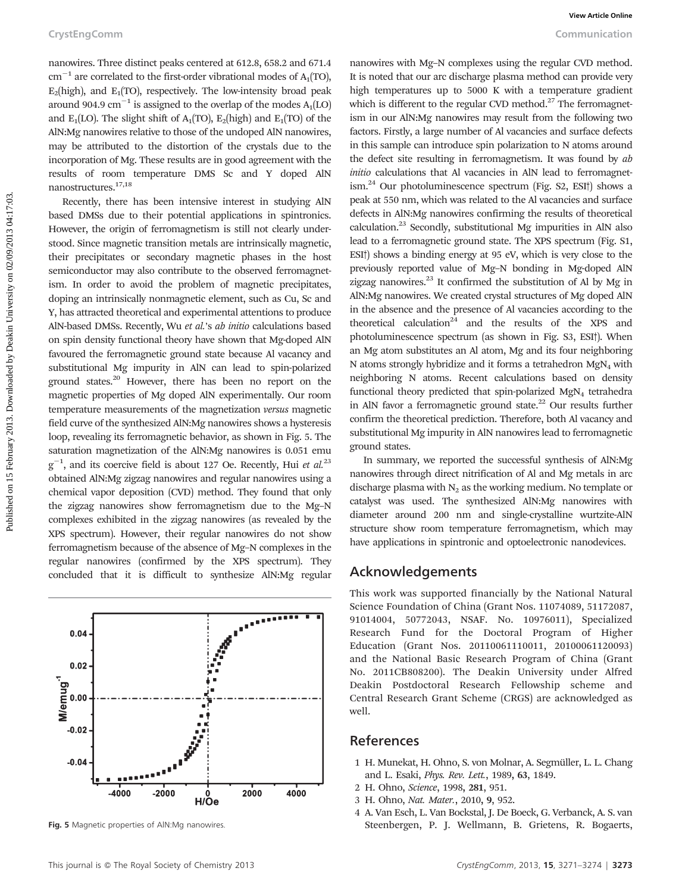nanowires. Three distinct peaks centered at 612.8, 658.2 and 671.4  $cm^{-1}$  are correlated to the first-order vibrational modes of A<sub>1</sub>(TO),  $E_2$ (high), and  $E_1(TO)$ , respectively. The low-intensity broad peak around 904.9 cm<sup>-1</sup> is assigned to the overlap of the modes  $A_1(LO)$ and  $E_1(LO)$ . The slight shift of  $A_1(TO)$ ,  $E_2(high)$  and  $E_1(TO)$  of the AlN:Mg nanowires relative to those of the undoped AlN nanowires, may be attributed to the distortion of the crystals due to the incorporation of Mg. These results are in good agreement with the results of room temperature DMS Sc and Y doped AlN nanostructures.17,18

Recently, there has been intensive interest in studying AlN based DMSs due to their potential applications in spintronics. However, the origin of ferromagnetism is still not clearly understood. Since magnetic transition metals are intrinsically magnetic, their precipitates or secondary magnetic phases in the host semiconductor may also contribute to the observed ferromagnetism. In order to avoid the problem of magnetic precipitates, doping an intrinsically nonmagnetic element, such as Cu, Sc and Y, has attracted theoretical and experimental attentions to produce AlN-based DMSs. Recently, Wu et al.'s ab initio calculations based on spin density functional theory have shown that Mg-doped AlN favoured the ferromagnetic ground state because Al vacancy and substitutional Mg impurity in AlN can lead to spin-polarized ground states.<sup>20</sup> However, there has been no report on the magnetic properties of Mg doped AlN experimentally. Our room temperature measurements of the magnetization versus magnetic field curve of the synthesized AlN:Mg nanowires shows a hysteresis loop, revealing its ferromagnetic behavior, as shown in Fig. 5. The saturation magnetization of the AlN:Mg nanowires is 0.051 emu  $g^{-1}$ , and its coercive field is about 127 Oe. Recently, Hui et al.<sup>23</sup> obtained AlN:Mg zigzag nanowires and regular nanowires using a chemical vapor deposition (CVD) method. They found that only the zigzag nanowires show ferromagnetism due to the Mg–N complexes exhibited in the zigzag nanowires (as revealed by the XPS spectrum). However, their regular nanowires do not show ferromagnetism because of the absence of Mg–N complexes in the regular nanowires (confirmed by the XPS spectrum). They concluded that it is difficult to synthesize AlN:Mg regular



nanowires with Mg–N complexes using the regular CVD method. It is noted that our arc discharge plasma method can provide very high temperatures up to 5000 K with a temperature gradient which is different to the regular CVD method.<sup>27</sup> The ferromagnetism in our AlN:Mg nanowires may result from the following two factors. Firstly, a large number of Al vacancies and surface defects in this sample can introduce spin polarization to N atoms around the defect site resulting in ferromagnetism. It was found by ab initio calculations that Al vacancies in AlN lead to ferromagnetism. $^{24}$  Our photoluminescence spectrum (Fig. S2, ESI<sup>†</sup>) shows a peak at 550 nm, which was related to the Al vacancies and surface defects in AlN:Mg nanowires confirming the results of theoretical calculation.23 Secondly, substitutional Mg impurities in AlN also lead to a ferromagnetic ground state. The XPS spectrum (Fig. S1, ESI<sup>†</sup>) shows a binding energy at 95 eV, which is very close to the previously reported value of Mg–N bonding in Mg-doped AlN zigzag nanowires. $^{23}$  It confirmed the substitution of Al by Mg in AlN:Mg nanowires. We created crystal structures of Mg doped AlN in the absence and the presence of Al vacancies according to the theoretical calculation<sup>24</sup> and the results of the XPS and photoluminescence spectrum (as shown in Fig. S3, ESI<sup>†</sup>). When an Mg atom substitutes an Al atom, Mg and its four neighboring N atoms strongly hybridize and it forms a tetrahedron  $MgN<sub>4</sub>$  with neighboring N atoms. Recent calculations based on density functional theory predicted that spin-polarized MgN<sub>4</sub> tetrahedra in AlN favor a ferromagnetic ground state. $22$  Our results further confirm the theoretical prediction. Therefore, both Al vacancy and substitutional Mg impurity in AlN nanowires lead to ferromagnetic ground states. CrystEngComm<br>
nanowies. These distinct poids centered at 612.8, 658.2 and 67.14<br>
one when the symphony involves in the non-distinct on the main distinct on the main distinct on the symphony of the symphony of the symphony

In summary, we reported the successful synthesis of AlN:Mg nanowires through direct nitrification of Al and Mg metals in arc discharge plasma with  $N_2$  as the working medium. No template or catalyst was used. The synthesized AlN:Mg nanowires with diameter around 200 nm and single-crystalline wurtzite-AlN structure show room temperature ferromagnetism, which may have applications in spintronic and optoelectronic nanodevices.

#### Acknowledgements

This work was supported financially by the National Natural Science Foundation of China (Grant Nos. 11074089, 51172087, 91014004, 50772043, NSAF. No. 10976011), Specialized Research Fund for the Doctoral Program of Higher Education (Grant Nos. 20110061110011, 20100061120093) and the National Basic Research Program of China (Grant No. 2011CB808200). The Deakin University under Alfred Deakin Postdoctoral Research Fellowship scheme and Central Research Grant Scheme (CRGS) are acknowledged as well.

#### References

- 1 H. Munekat, H. Ohno, S. von Molnar, A. Segmüller, L. L. Chang and L. Esaki, Phys. Rev. Lett., 1989, 63, 1849.
- 2 H. Ohno, Science, 1998, 281, 951.
- 3 H. Ohno, Nat. Mater., 2010, 9, 952.
- 4 A. Van Esch, L. Van Bockstal, J. De Boeck, G. Verbanck, A. S. van Fig. 5 Magnetic properties of AlN:Mg nanowires. Steenbergen, P. J. Wellmann, B. Grietens, R. Bogaerts,